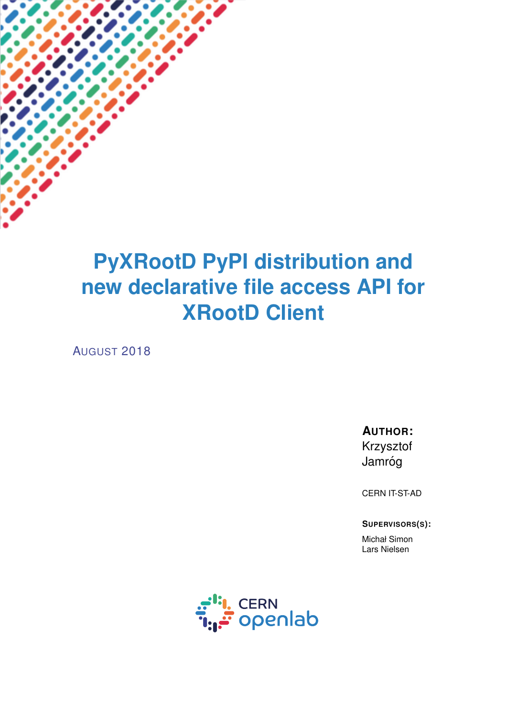# **PyXRootD PyPI distribution and new declarative file access API for XRootD Client**

AUGUST 2018

**AUTHOR:** Krzysztof Jamróg

CERN IT-ST-AD

**SUPERVISORS(S):**

Michał Simon Lars Nielsen

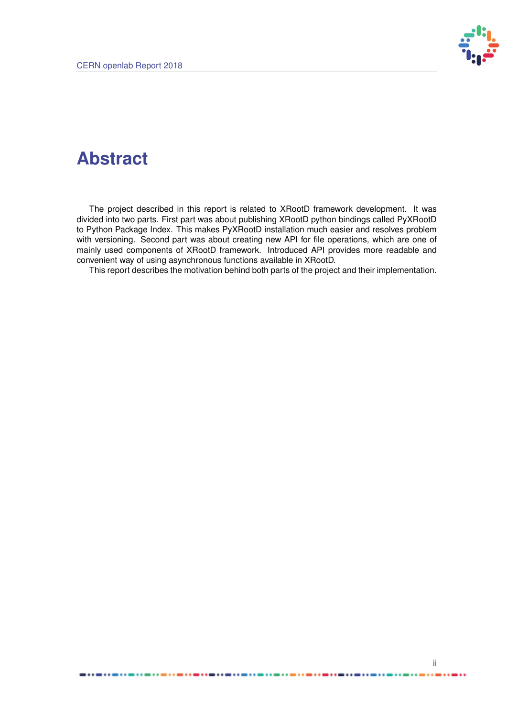

## **Abstract**

The project described in this report is related to XRootD framework development. It was divided into two parts. First part was about publishing XRootD python bindings called PyXRootD to Python Package Index. This makes PyXRootD installation much easier and resolves problem with versioning. Second part was about creating new API for file operations, which are one of mainly used components of XRootD framework. Introduced API provides more readable and convenient way of using asynchronous functions available in XRootD.

This report describes the motivation behind both parts of the project and their implementation.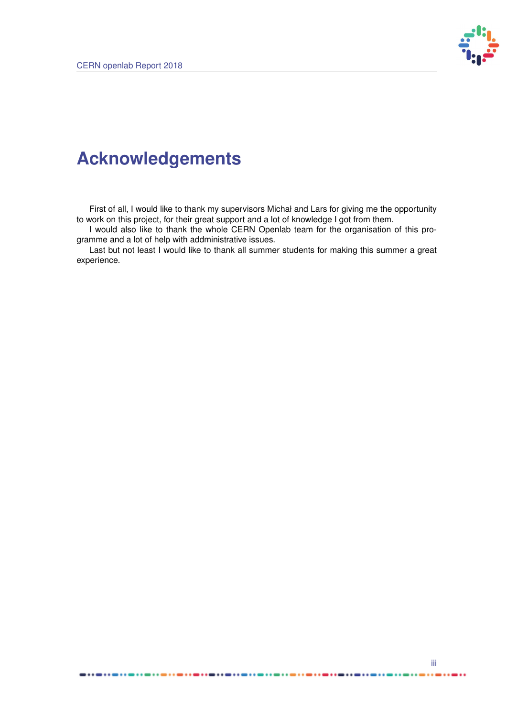. . . . . . .



## **Acknowledgements**

First of all, I would like to thank my supervisors Michał and Lars for giving me the opportunity to work on this project, for their great support and a lot of knowledge I got from them.

I would also like to thank the whole CERN Openlab team for the organisation of this programme and a lot of help with addministrative issues.

Last but not least I would like to thank all summer students for making this summer a great experience.

..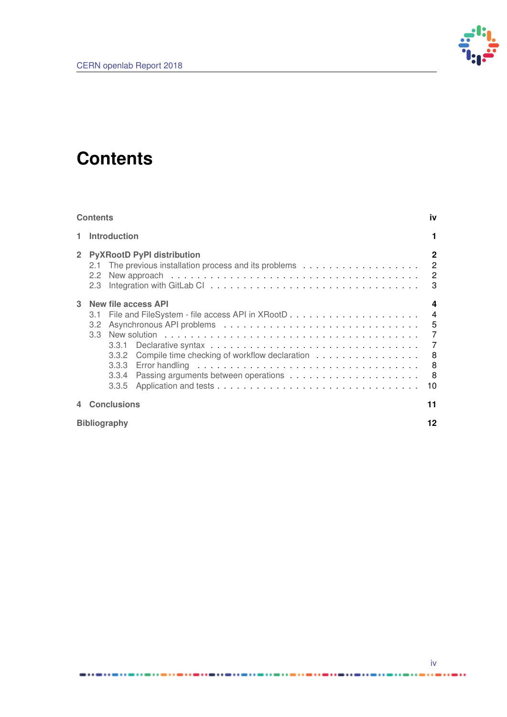

# <span id="page-3-0"></span>**Contents**

.............

. . . . . . . . . . .

| <b>Contents</b> |                                                                                                                                                                                                                                                                                                     |    |  |  |  |  |  |  |
|-----------------|-----------------------------------------------------------------------------------------------------------------------------------------------------------------------------------------------------------------------------------------------------------------------------------------------------|----|--|--|--|--|--|--|
|                 | <b>Introduction</b>                                                                                                                                                                                                                                                                                 |    |  |  |  |  |  |  |
| $2^{\circ}$     | <b>PyXRootD PyPI distribution</b><br>$\overline{2}$<br>2.2<br>Integration with GitLab Clarge Library 2014 - All Annual March 2014 - All Annual March 2014 - All Annual March 2014 - All Annual March 2014 - All Annual March 2014 - All Annual March 2014 - All Annual March 2014 - All Annu<br>2.3 |    |  |  |  |  |  |  |
| 3               | New file access API<br>3.1<br>$-5$<br>3.2 <sub>2</sub><br>3.3 <sup>°</sup><br>3.3.1<br>3.3.2<br>3.3.3<br>3.3.4<br>3.3.5                                                                                                                                                                             |    |  |  |  |  |  |  |
|                 | <b>Conclusions</b>                                                                                                                                                                                                                                                                                  | 11 |  |  |  |  |  |  |
|                 | <b>Bibliography</b>                                                                                                                                                                                                                                                                                 |    |  |  |  |  |  |  |

. . . . . . .

...

...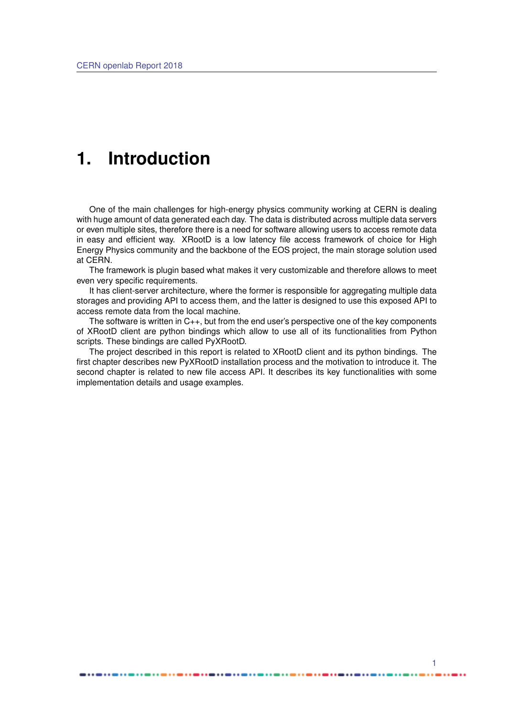## <span id="page-4-0"></span>**1. Introduction**

One of the main challenges for high-energy physics community working at CERN is dealing with huge amount of data generated each day. The data is distributed across multiple data servers or even multiple sites, therefore there is a need for software allowing users to access remote data in easy and efficient way. XRootD is a low latency file access framework of choice for High Energy Physics community and the backbone of the EOS project, the main storage solution used at CERN.

The framework is plugin based what makes it very customizable and therefore allows to meet even very specific requirements.

It has client-server architecture, where the former is responsible for aggregating multiple data storages and providing API to access them, and the latter is designed to use this exposed API to access remote data from the local machine.

The software is written in C++, but from the end user's perspective one of the key components of XRootD client are python bindings which allow to use all of its functionalities from Python scripts. These bindings are called PyXRootD.

The project described in this report is related to XRootD client and its python bindings. The first chapter describes new PyXRootD installation process and the motivation to introduce it. The second chapter is related to new file access API. It describes its key functionalities with some implementation details and usage examples.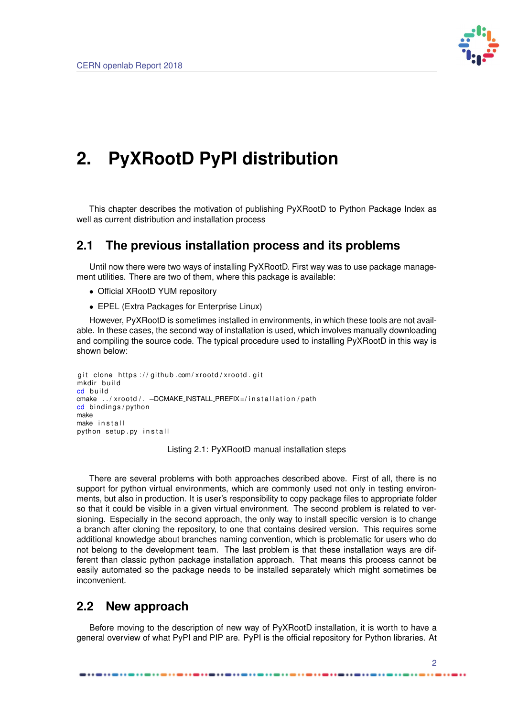

# <span id="page-5-0"></span>**2. PyXRootD PyPI distribution**

This chapter describes the motivation of publishing PyXRootD to Python Package Index as well as current distribution and installation process

### <span id="page-5-1"></span>**2.1 The previous installation process and its problems**

Until now there were two ways of installing PyXRootD. First way was to use package management utilities. There are two of them, where this package is available:

- Official XRootD YUM repository
- EPEL (Extra Packages for Enterprise Linux)

However, PyXRootD is sometimes installed in environments, in which these tools are not available. In these cases, the second way of installation is used, which involves manually downloading and compiling the source code. The typical procedure used to installing PyXRootD in this way is shown below:

```
git clone https://github.com/xrootd/xrootd.git
mkdir build
cd build
cmake . . / xrootd / . - DCMAKE_INSTALL_PREFIX=/installation/path
cd bindings/python
make
make install
python setup.py install
```
Listing 2.1: PyXRootD manual installation steps

There are several problems with both approaches described above. First of all, there is no support for python virtual environments, which are commonly used not only in testing environments, but also in production. It is user's responsibility to copy package files to appropriate folder so that it could be visible in a given virtual environment. The second problem is related to versioning. Especially in the second approach, the only way to install specific version is to change a branch after cloning the repository, to one that contains desired version. This requires some additional knowledge about branches naming convention, which is problematic for users who do not belong to the development team. The last problem is that these installation ways are different than classic python package installation approach. That means this process cannot be easily automated so the package needs to be installed separately which might sometimes be inconvenient.

### <span id="page-5-2"></span>**2.2 New approach**

Before moving to the description of new way of PyXRootD installation, it is worth to have a general overview of what PyPI and PIP are. PyPI is the official repository for Python libraries. At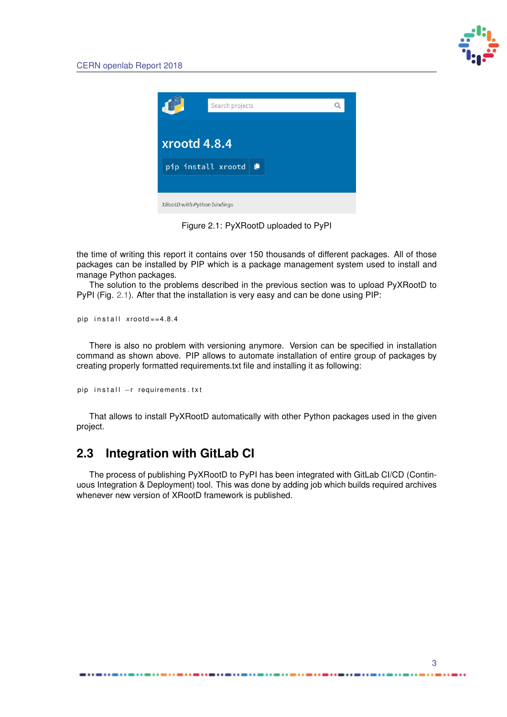

<span id="page-6-1"></span>

|                             | Search projects    |   |  |  |  |  |  |
|-----------------------------|--------------------|---|--|--|--|--|--|
|                             |                    |   |  |  |  |  |  |
| xrootd 4.8.4                |                    |   |  |  |  |  |  |
|                             | pip install xrootd | Û |  |  |  |  |  |
|                             |                    |   |  |  |  |  |  |
| XRootD with Python bindings |                    |   |  |  |  |  |  |

Figure 2.1: PyXRootD uploaded to PyPI

the time of writing this report it contains over 150 thousands of different packages. All of those packages can be installed by PIP which is a package management system used to install and manage Python packages.

The solution to the problems described in the previous section was to upload PyXRootD to PyPI (Fig. [2.1\)](#page-6-1). After that the installation is very easy and can be done using PIP:

pip in stall  $x$  rootd == 4.8.4

There is also no problem with versioning anymore. Version can be specified in installation command as shown above. PIP allows to automate installation of entire group of packages by creating properly formatted requirements.txt file and installing it as following:

```
pip install −r requirements.txt
```
That allows to install PyXRootD automatically with other Python packages used in the given project.

## <span id="page-6-0"></span>**2.3 Integration with GitLab CI**

The process of publishing PyXRootD to PyPI has been integrated with GitLab CI/CD (Continuous Integration & Deployment) tool. This was done by adding job which builds required archives whenever new version of XRootD framework is published.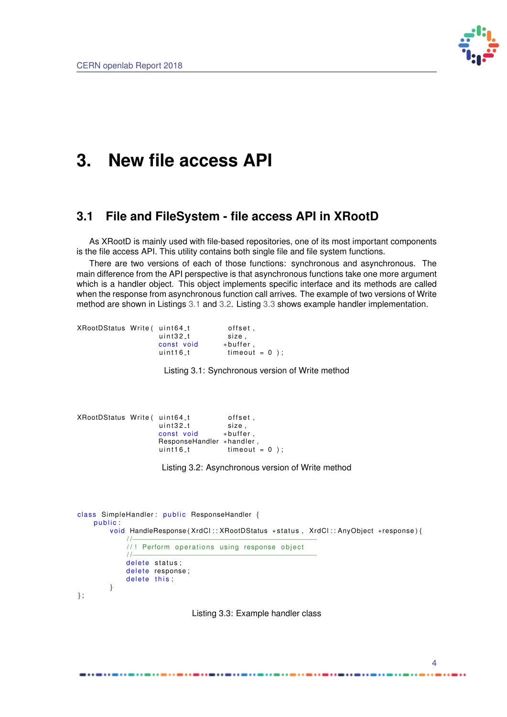

## <span id="page-7-0"></span>**3. New file access API**

### <span id="page-7-1"></span>**3.1 File and FileSystem - file access API in XRootD**

As XRootD is mainly used with file-based repositories, one of its most important components is the file access API. This utility contains both single file and file system functions.

There are two versions of each of those functions: synchronous and asynchronous. The main difference from the API perspective is that asynchronous functions take one more argument which is a handler object. This object implements specific interface and its methods are called when the response from asynchronous function call arrives. The example of two versions of Write method are shown in Listings [3.1](#page-7-3) and [3.2.](#page-7-4) Listing [3.3](#page-7-5) shows example handler implementation.

<span id="page-7-3"></span>

| XRootDStatus Write (uint64_t) |            | offset .        |
|-------------------------------|------------|-----------------|
|                               | uint32_t   | size.           |
|                               | const void | $*$ buffer.     |
|                               | $uint16_t$ | $timeout = 0$ : |

Listing 3.1: Synchronous version of Write method

```
, XRootDStatus Write ( uint64_t offset , and the size offset of the translation of the translation o
                           uint32_tconst void *buffer ,
                           ResponseHandler ∗handler,
                           uint16_t timeout = 0 );
```
Listing 3.2: Asynchronous version of Write method

```
class SimpleHandler: public ResponseHandler {
    public:
        void HandleResponse (XrdCl :: XRootDStatus *status, XrdCl :: AnyObject *response) {
             / /−−−−−−−−−−−−−−−−−−−−−−−−−−−−−−−−−−−−−−−−−−−−−
             //! Perform operations using response object
             / /−−−−−−−−−−−−−−−−−−−−−−−−−−−−−−−−−−−−−−−−−−−−−
            delete status;
            delete response;
            delete this;
        }
};
```
<span id="page-7-2"></span>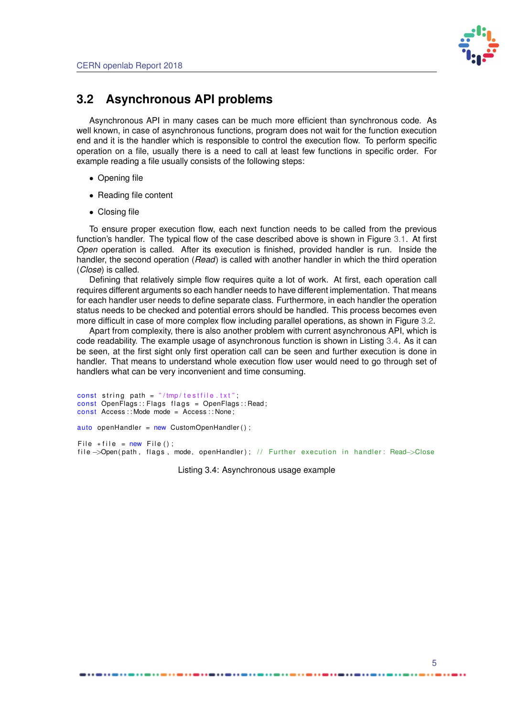

### **3.2 Asynchronous API problems**

Asynchronous API in many cases can be much more efficient than synchronous code. As well known, in case of asynchronous functions, program does not wait for the function execution end and it is the handler which is responsible to control the execution flow. To perform specific operation on a file, usually there is a need to call at least few functions in specific order. For example reading a file usually consists of the following steps:

- Opening file
- Reading file content
- Closing file

To ensure proper execution flow, each next function needs to be called from the previous function's handler. The typical flow of the case described above is shown in Figure [3.1.](#page-9-0) At first *Open* operation is called. After its execution is finished, provided handler is run. Inside the handler, the second operation (*Read*) is called with another handler in which the third operation (*Close*) is called.

Defining that relatively simple flow requires quite a lot of work. At first, each operation call requires different arguments so each handler needs to have different implementation. That means for each handler user needs to define separate class. Furthermore, in each handler the operation status needs to be checked and potential errors should be handled. This process becomes even more difficult in case of more complex flow including parallel operations, as shown in Figure [3.2.](#page-9-1)

Apart from complexity, there is also another problem with current asynchronous API, which is code readability. The example usage of asynchronous function is shown in Listing [3.4.](#page-8-0) As it can be seen, at the first sight only first operation call can be seen and further execution is done in handler. That means to understand whole execution flow user would need to go through set of handlers what can be very inconvenient and time consuming.

```
const string path = \sqrt{r}/tmp/testfile.txt";
const OpenFlags:: Flags flags = OpenFlags:: Read;
const Access: : Mode mode = Access: : None;
auto openHandler = new CustomOpenHandler();
File * file = new File ();
file ->Open(path, flags, mode, openHandler); // Further execution in handler: Read->Close
```
Listing 3.4: Asynchronous usage example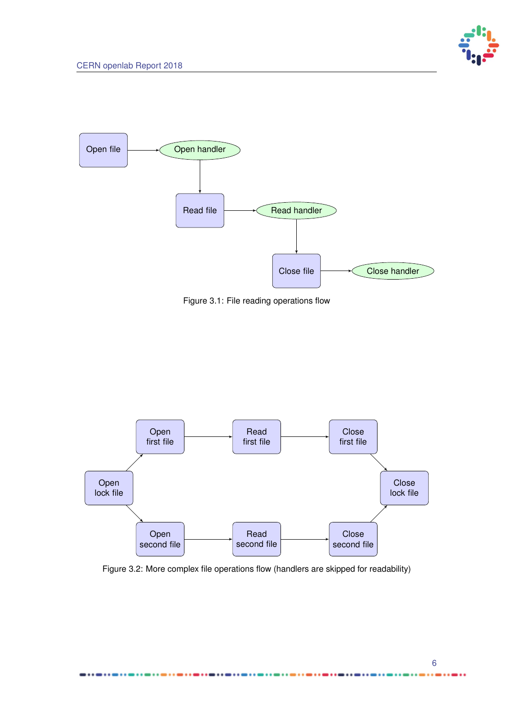

<span id="page-9-0"></span>

Figure 3.1: File reading operations flow

<span id="page-9-1"></span>

Figure 3.2: More complex file operations flow (handlers are skipped for readability)

..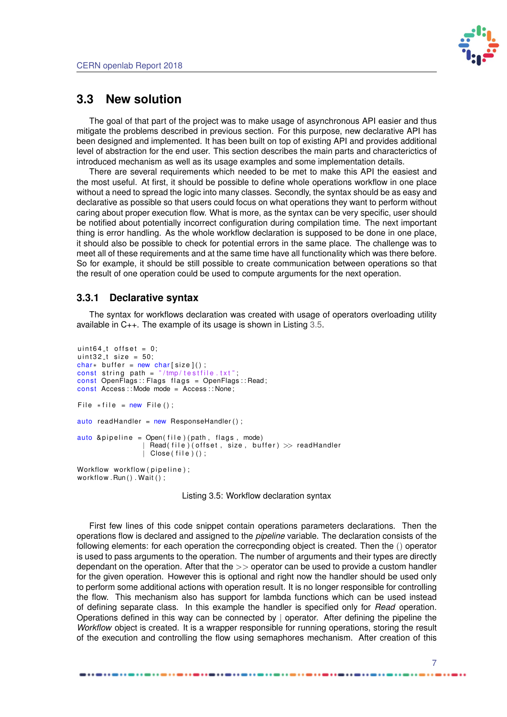

### <span id="page-10-0"></span>**3.3 New solution**

The goal of that part of the project was to make usage of asynchronous API easier and thus mitigate the problems described in previous section. For this purpose, new declarative API has been designed and implemented. It has been built on top of existing API and provides additional level of abstraction for the end user. This section describes the main parts and characterictics of introduced mechanism as well as its usage examples and some implementation details.

There are several requirements which needed to be met to make this API the easiest and the most useful. At first, it should be possible to define whole operations workflow in one place without a need to spread the logic into many classes. Secondly, the syntax should be as easy and declarative as possible so that users could focus on what operations they want to perform without caring about proper execution flow. What is more, as the syntax can be very specific, user should be notified about potentially incorrect configuration during compilation time. The next important thing is error handling. As the whole workflow declaration is supposed to be done in one place, it should also be possible to check for potential errors in the same place. The challenge was to meet all of these requirements and at the same time have all functionality which was there before. So for example, it should be still possible to create communication between operations so that the result of one operation could be used to compute arguments for the next operation.

#### <span id="page-10-1"></span>**3.3.1 Declarative syntax**

The syntax for workflows declaration was created with usage of operators overloading utility available in C++. The example of its usage is shown in Listing [3.5.](#page-10-2)

```
uint64<sub>-t</sub> offset = 0;
uint 32 t size = 50;
char* buffer = new char[size]();
const string path = \sqrt{r}/tmp/testfile.txt";
const OpenFlags :: Flags flags = OpenFlags :: Read;
const Access:: Mode mode = Access: : None;
File * file = new File ();
auto readHandler = new ResponseHandler();
auto \delta pipeline = Open (file) (path, flags, mode)
                      \textsf{Read}(\textsf{file})(\textsf{offset}, \textsf{size}, \textsf{buffer}) \gg \textsf{readHandler}| Close (file ) ();
Workflow workflow (pipeline);
workflow . Run(). Wait ();
```
Listing 3.5: Workflow declaration syntax

First few lines of this code snippet contain operations parameters declarations. Then the operations flow is declared and assigned to the *pipeline* variable. The declaration consists of the following elements: for each operation the correcponding object is created. Then the () operator is used to pass arguments to the operation. The number of arguments and their types are directly dependant on the operation. After that the  $>>$  operator can be used to provide a custom handler for the given operation. However this is optional and right now the handler should be used only to perform some additional actions with operation result. It is no longer responsible for controlling the flow. This mechanism also has support for lambda functions which can be used instead of defining separate class. In this example the handler is specified only for *Read* operation. Operations defined in this way can be connected by | operator. After defining the pipeline the *Workflow* object is created. It is a wrapper responsible for running operations, storing the result of the execution and controlling the flow using semaphores mechanism. After creation of this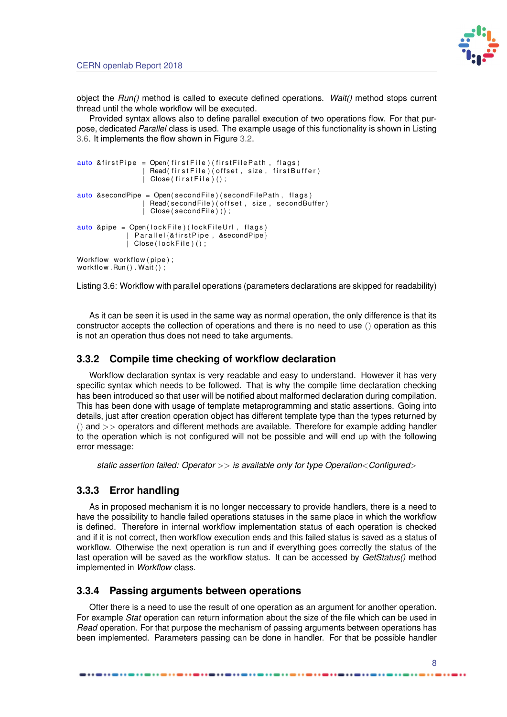

object the *Run()* method is called to execute defined operations. *Wait()* method stops current thread until the whole workflow will be executed.

Provided syntax allows also to define parallel execution of two operations flow. For that purpose, dedicated *Parallel* class is used. The example usage of this functionality is shown in Listing [3.6.](#page-11-3) It implements the flow shown in Figure [3.2.](#page-9-1)

```
auto & first Pipe = Open (first File) (first File Path, flags)
                   Read (first File) (offset, size, first Buffer)
                   Close ( first File ) ( ) ;
auto &secondPipe = Open(secondFile)(secondFilePath, flags)
                  | Read ( second File ) ( offset , size , second Buffer )
                  | Close (secondFile)();
auto &pipe = Open(lockFile)(lockFileUrl, flags)
               Parallel{&firstPipe, &secondPipe}
              Close (lock File ) ();
Workflow workflow (pipe);
workflow . Run(). Wait();
```
Listing 3.6: Workflow with parallel operations (parameters declarations are skipped for readability)

As it can be seen it is used in the same way as normal operation, the only difference is that its constructor accepts the collection of operations and there is no need to use () operation as this is not an operation thus does not need to take arguments.

#### <span id="page-11-0"></span>**3.3.2 Compile time checking of workflow declaration**

Workflow declaration syntax is very readable and easy to understand. However it has very specific syntax which needs to be followed. That is why the compile time declaration checking has been introduced so that user will be notified about malformed declaration during compilation. This has been done with usage of template metaprogramming and static assertions. Going into details, just after creation operation object has different template type than the types returned by  $()$  and  $>>$  operators and different methods are available. Therefore for example adding handler to the operation which is not configured will not be possible and will end up with the following error message:

*static assertion failed: Operator* >> *is available only for type Operation*<*Configured*>

#### <span id="page-11-1"></span>**3.3.3 Error handling**

As in proposed mechanism it is no longer neccessary to provide handlers, there is a need to have the possibility to handle failed operations statuses in the same place in which the workflow is defined. Therefore in internal workflow implementation status of each operation is checked and if it is not correct, then workflow execution ends and this failed status is saved as a status of workflow. Otherwise the next operation is run and if everything goes correctly the status of the last operation will be saved as the workflow status. It can be accessed by *GetStatus()* method implemented in *Workflow* class.

#### <span id="page-11-2"></span>**3.3.4 Passing arguments between operations**

Ofter there is a need to use the result of one operation as an argument for another operation. For example *Stat* operation can return information about the size of the file which can be used in *Read* operation. For that purpose the mechanism of passing arguments between operations has been implemented. Parameters passing can be done in handler. For that be possible handler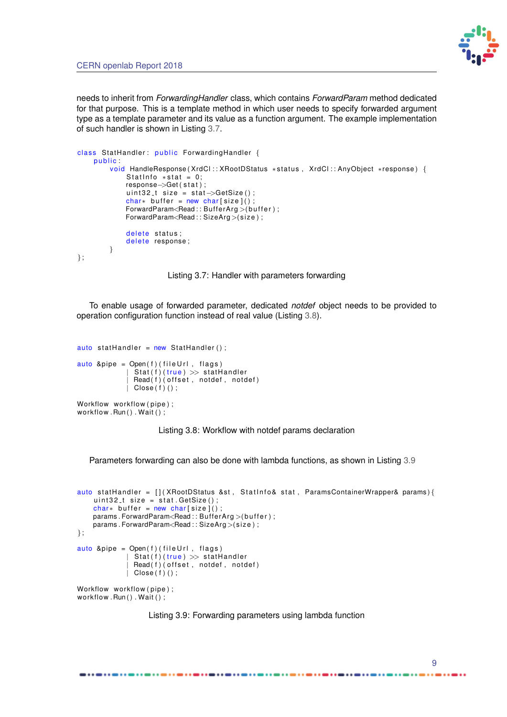

needs to inherit from *ForwardingHandler* class, which contains *ForwardParam* method dedicated for that purpose. This is a template method in which user needs to specify forwarded argument type as a template parameter and its value as a function argument. The example implementation of such handler is shown in Listing [3.7.](#page-12-1)

```
class StatHandler: public ForwardingHandler {
    public
         void HandleResponse ( XrdCl : : XRootDStatus * status, XrdCl : : AnyObject * response ) {
             Statinfo * stat = 0;
             response−>Get ( s t a t ) ;
             uint 32 t size = stat \rightarrow GetSize();
             char* buffer = new char [size]();
             ForwardParam<Read:: BufferArg>(buffer);
             ForwardParam<Read:: SizeArg >(size);
             delete status;
             delete response;
        }
};
```
Listing 3.7: Handler with parameters forwarding

To enable usage of forwarded parameter, dedicated *notdef* object needs to be provided to operation configuration function instead of real value (Listing [3.8\)](#page-12-2).

```
auto statHandler = new StatHandler ();
auto &pipe = Open(f) (file Url, flags)
               Stat(f)(true) \gg stat Handler
               \text{Read}(f) ( offset, notdef, notdef)
               Close ( f ) ( ) ;
```

```
Workflow workflow (pipe);
workflow . Run() . Wait ();
```
Listing 3.8: Workflow with notdef params declaration

Parameters forwarding can also be done with lambda functions, as shown in Listing [3.9](#page-12-3)

```
auto stat Handler = [] ( XRootDStatus &st, Stat Info& stat, ParamsContainerWrapper& params ) {
     uint32<sub>-</sub>t size = stat.GetSize();
    char∗ buffer = new char [size]();
    params . ForwardParam<Read :: BufferArg >(buffer) ;
    params . ForwardParam<Read : : SizeArg >(size) ;
};
auto &pipe = Open(f) (file Url, flags)
               Stat(f)(true) \gg statHander\text{Read}(f) ( offset, notdef, notdef)
               Close ( f ) ( ) ;
Workflow workflow (pipe);
workflow . Run(). Wait ();
```
<span id="page-12-0"></span>

...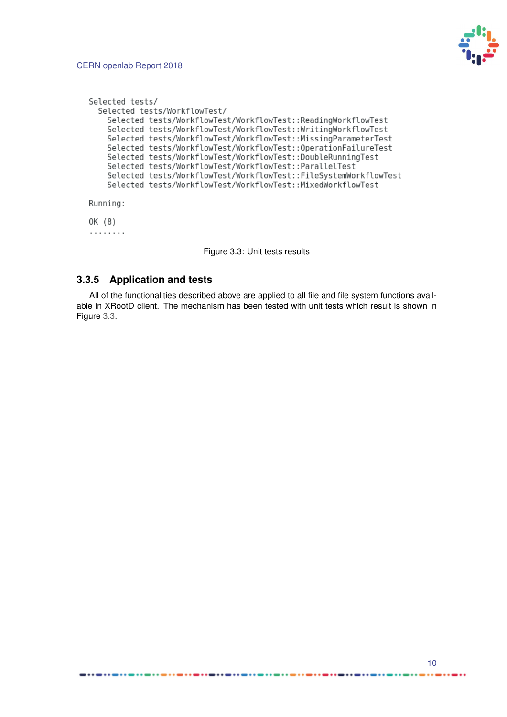

```
Selected tests/
  Selected tests/WorkflowTest/
    Selected tests/WorkflowTest/WorkflowTest::ReadingWorkflowTest
    Selected tests/WorkflowTest/WorkflowTest::WritingWorkflowTest
    Selected tests/WorkflowTest/WorkflowTest::MissingParameterTest
    Selected tests/WorkflowTest/WorkflowTest:: OperationFailureTest
    Selected tests/WorkflowTest/WorkflowTest::DoubleRunningTest
    Selected tests/WorkflowTest/WorkflowTest::ParallelTest
    Selected tests/WorkflowTest/WorkflowTest::FileSystemWorkflowTest
    Selected tests/WorkflowTest/WorkflowTest::MixedWorkflowTest
Running:
OK (8)
. . . . . . . .
```
Figure 3.3: Unit tests results

#### **3.3.5 Application and tests**

 $... - ... - ...$ 

All of the functionalities described above are applied to all file and file system functions available in XRootD client. The mechanism has been tested with unit tests which result is shown in Figure [3.3.](#page-13-0)

 $... - ...$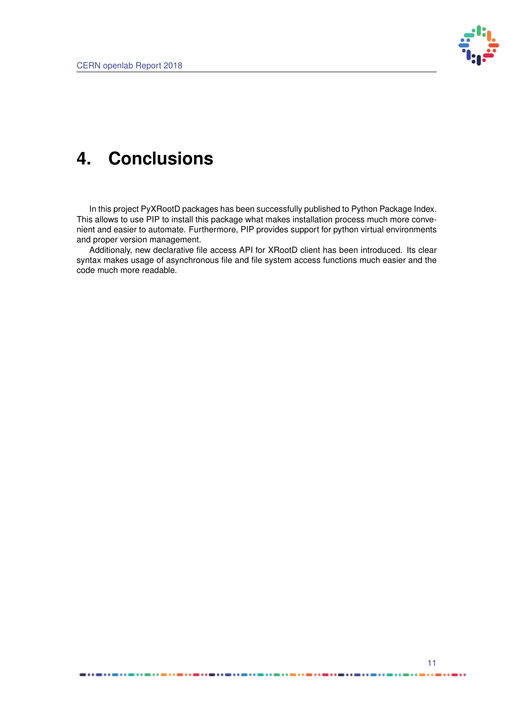

# <span id="page-14-0"></span>**4. Conclusions**

In this project PyXRootD packages has been successfully published to Python Package Index. This allows to use PIP to install this package what makes installation process much more convenient and easier to automate. Furthermore, PIP provides support for python virtual environments and proper version management.

Additionaly, new declarative file access API for XRootD client has been introduced. Its clear syntax makes usage of asynchronous file and file system access functions much easier and the code much more readable.

...